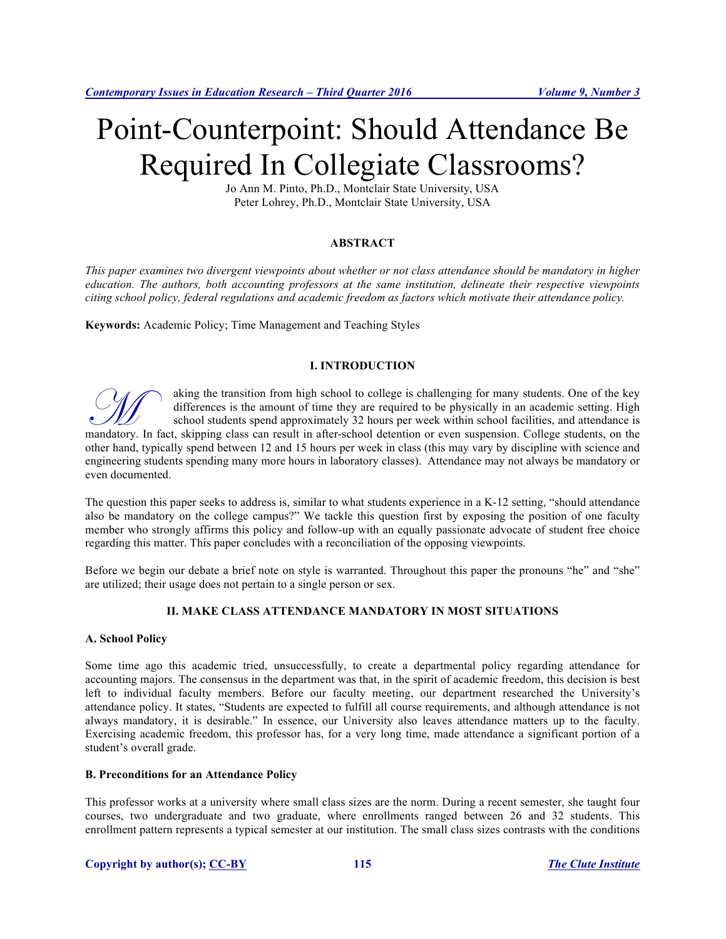# Point-Counterpoint: Should Attendance Be Required In Collegiate Classrooms?

Jo Ann M. Pinto, Ph.D., Montclair State University, USA Peter Lohrey, Ph.D., Montclair State University, USA

# **ABSTRACT**

*This paper examines two divergent viewpoints about whether or not class attendance should be mandatory in higher education. The authors, both accounting professors at the same institution, delineate their respective viewpoints citing school policy, federal regulations and academic freedom as factors which motivate their attendance policy.*

**Keywords:** Academic Policy; Time Management and Teaching Styles

# **I. INTRODUCTION**



aking the transition from high school to college is challenging for many students. One of the key differences is the amount of time they are required to be physically in an academic setting. High school students spend approximately 32 hours per week within school facilities, and attendance is aking the transition from high school to college is challenging for many students. One of the key differences is the amount of time they are required to be physically in an academic setting. High school students spend appr other hand, typically spend between 12 and 15 hours per week in class (this may vary by discipline with science and engineering students spending many more hours in laboratory classes). Attendance may not always be mandatory or even documented.

The question this paper seeks to address is, similar to what students experience in a K-12 setting, "should attendance also be mandatory on the college campus?" We tackle this question first by exposing the position of one faculty member who strongly affirms this policy and follow-up with an equally passionate advocate of student free choice regarding this matter. This paper concludes with a reconciliation of the opposing viewpoints.

Before we begin our debate a brief note on style is warranted. Throughout this paper the pronouns "he" and "she" are utilized; their usage does not pertain to a single person or sex.

# **II. MAKE CLASS ATTENDANCE MANDATORY IN MOST SITUATIONS**

## **A. School Policy**

Some time ago this academic tried, unsuccessfully, to create a departmental policy regarding attendance for accounting majors. The consensus in the department was that, in the spirit of academic freedom, this decision is best left to individual faculty members. Before our faculty meeting, our department researched the University's attendance policy. It states, "Students are expected to fulfill all course requirements, and although attendance is not always mandatory, it is desirable." In essence, our University also leaves attendance matters up to the faculty. Exercising academic freedom, this professor has, for a very long time, made attendance a significant portion of a student's overall grade.

## **B. Preconditions for an Attendance Policy**

This professor works at a university where small class sizes are the norm. During a recent semester, she taught four courses, two undergraduate and two graduate, where enrollments ranged between 26 and 32 students. This enrollment pattern represents a typical semester at our institution. The small class sizes contrasts with the conditions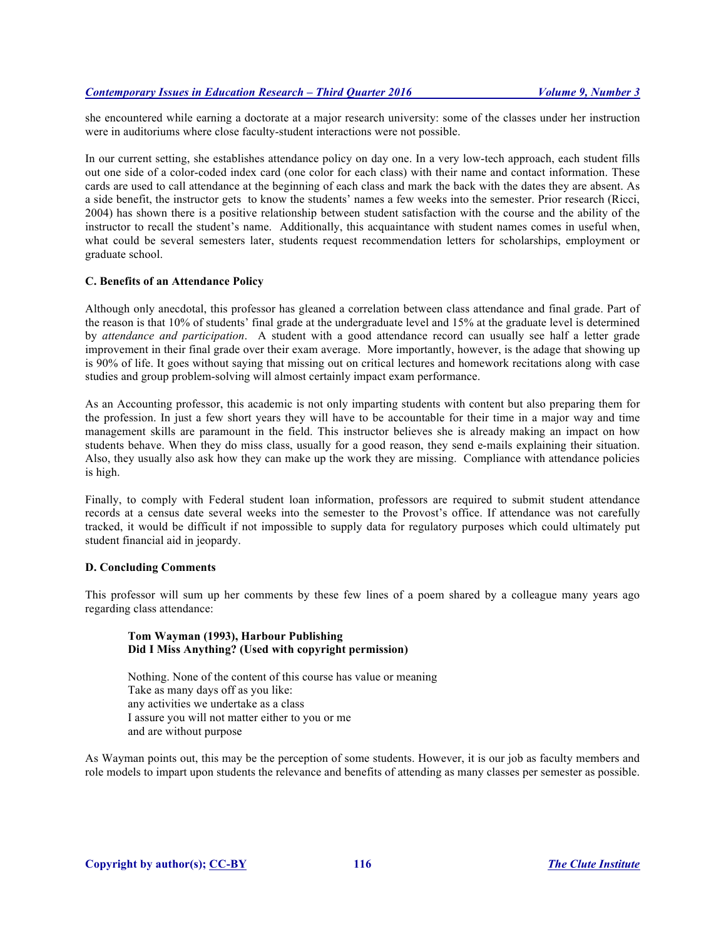she encountered while earning a doctorate at a major research university: some of the classes under her instruction were in auditoriums where close faculty-student interactions were not possible.

In our current setting, she establishes attendance policy on day one. In a very low-tech approach, each student fills out one side of a color-coded index card (one color for each class) with their name and contact information. These cards are used to call attendance at the beginning of each class and mark the back with the dates they are absent. As a side benefit, the instructor gets to know the students' names a few weeks into the semester. Prior research (Ricci, 2004) has shown there is a positive relationship between student satisfaction with the course and the ability of the instructor to recall the student's name. Additionally, this acquaintance with student names comes in useful when, what could be several semesters later, students request recommendation letters for scholarships, employment or graduate school.

#### **C. Benefits of an Attendance Policy**

Although only anecdotal, this professor has gleaned a correlation between class attendance and final grade. Part of the reason is that 10% of students' final grade at the undergraduate level and 15% at the graduate level is determined by *attendance and participation*. A student with a good attendance record can usually see half a letter grade improvement in their final grade over their exam average. More importantly, however, is the adage that showing up is 90% of life. It goes without saying that missing out on critical lectures and homework recitations along with case studies and group problem-solving will almost certainly impact exam performance.

As an Accounting professor, this academic is not only imparting students with content but also preparing them for the profession. In just a few short years they will have to be accountable for their time in a major way and time management skills are paramount in the field. This instructor believes she is already making an impact on how students behave. When they do miss class, usually for a good reason, they send e-mails explaining their situation. Also, they usually also ask how they can make up the work they are missing. Compliance with attendance policies is high.

Finally, to comply with Federal student loan information, professors are required to submit student attendance records at a census date several weeks into the semester to the Provost's office. If attendance was not carefully tracked, it would be difficult if not impossible to supply data for regulatory purposes which could ultimately put student financial aid in jeopardy.

## **D. Concluding Comments**

This professor will sum up her comments by these few lines of a poem shared by a colleague many years ago regarding class attendance:

## **Tom Wayman (1993), Harbour Publishing Did I Miss Anything? (Used with copyright permission)**

Nothing. None of the content of this course has value or meaning Take as many days off as you like: any activities we undertake as a class I assure you will not matter either to you or me and are without purpose

As Wayman points out, this may be the perception of some students. However, it is our job as faculty members and role models to impart upon students the relevance and benefits of attending as many classes per semester as possible.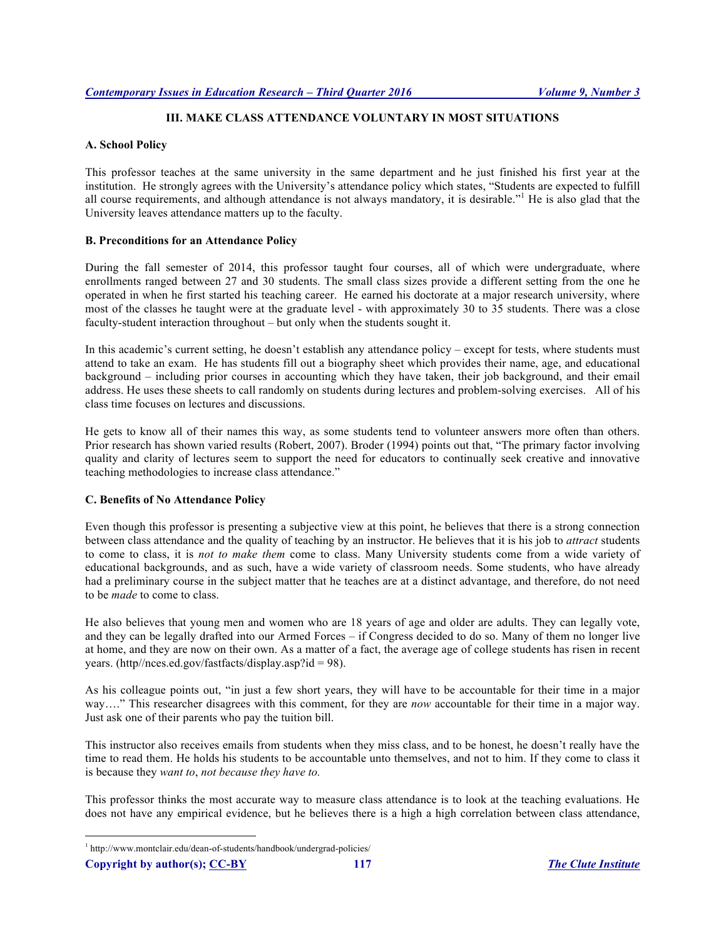# **III. MAKE CLASS ATTENDANCE VOLUNTARY IN MOST SITUATIONS**

# **A. School Policy**

This professor teaches at the same university in the same department and he just finished his first year at the institution. He strongly agrees with the University's attendance policy which states, "Students are expected to fulfill all course requirements, and although attendance is not always mandatory, it is desirable."<sup>1</sup> He is also glad that the University leaves attendance matters up to the faculty.

## **B. Preconditions for an Attendance Policy**

During the fall semester of 2014, this professor taught four courses, all of which were undergraduate, where enrollments ranged between 27 and 30 students. The small class sizes provide a different setting from the one he operated in when he first started his teaching career. He earned his doctorate at a major research university, where most of the classes he taught were at the graduate level - with approximately 30 to 35 students. There was a close faculty-student interaction throughout – but only when the students sought it.

In this academic's current setting, he doesn't establish any attendance policy – except for tests, where students must attend to take an exam. He has students fill out a biography sheet which provides their name, age, and educational background – including prior courses in accounting which they have taken, their job background, and their email address. He uses these sheets to call randomly on students during lectures and problem-solving exercises. All of his class time focuses on lectures and discussions.

He gets to know all of their names this way, as some students tend to volunteer answers more often than others. Prior research has shown varied results (Robert, 2007). Broder (1994) points out that, "The primary factor involving quality and clarity of lectures seem to support the need for educators to continually seek creative and innovative teaching methodologies to increase class attendance."

# **C. Benefits of No Attendance Policy**

Even though this professor is presenting a subjective view at this point, he believes that there is a strong connection between class attendance and the quality of teaching by an instructor. He believes that it is his job to *attract* students to come to class, it is *not to make them* come to class. Many University students come from a wide variety of educational backgrounds, and as such, have a wide variety of classroom needs. Some students, who have already had a preliminary course in the subject matter that he teaches are at a distinct advantage, and therefore, do not need to be *made* to come to class.

He also believes that young men and women who are 18 years of age and older are adults. They can legally vote, and they can be legally drafted into our Armed Forces – if Congress decided to do so. Many of them no longer live at home, and they are now on their own. As a matter of a fact, the average age of college students has risen in recent years. (http//nces.ed.gov/fastfacts/display.asp?id = 98).

As his colleague points out, "in just a few short years, they will have to be accountable for their time in a major way…." This researcher disagrees with this comment, for they are *now* accountable for their time in a major way. Just ask one of their parents who pay the tuition bill.

This instructor also receives emails from students when they miss class, and to be honest, he doesn't really have the time to read them. He holds his students to be accountable unto themselves, and not to him. If they come to class it is because they *want to*, *not because they have to.*

This professor thinks the most accurate way to measure class attendance is to look at the teaching evaluations. He does not have any empirical evidence, but he believes there is a high a high correlation between class attendance,

**Copyright by author(s); CC-BY 117** *The Clute Institute*

 <sup>1</sup> http://www.montclair.edu/dean-of-students/handbook/undergrad-policies/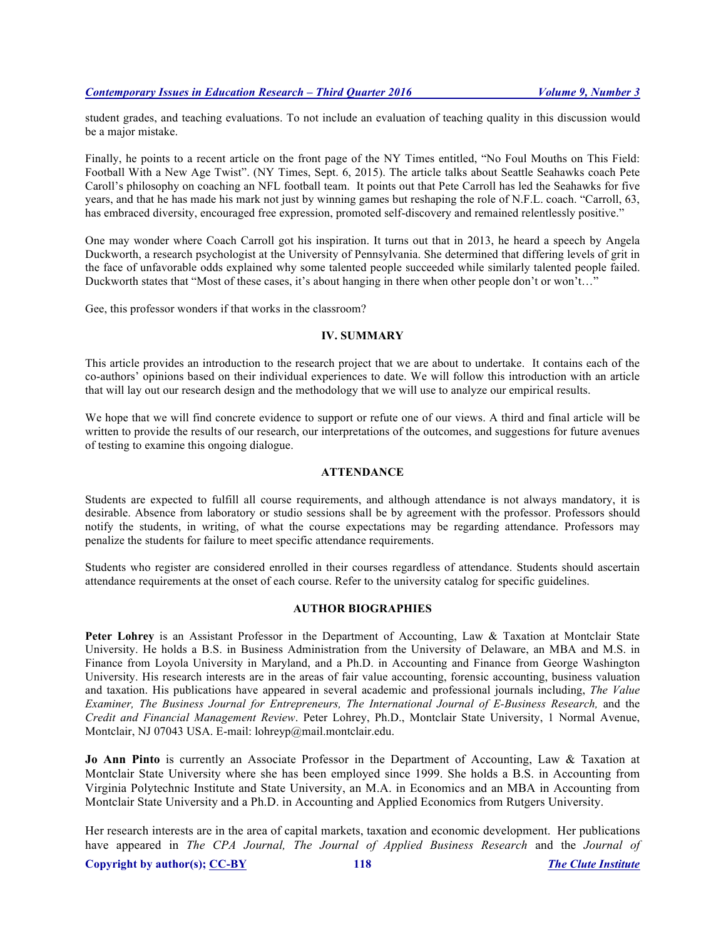student grades, and teaching evaluations. To not include an evaluation of teaching quality in this discussion would be a major mistake.

Finally, he points to a recent article on the front page of the NY Times entitled, "No Foul Mouths on This Field: Football With a New Age Twist". (NY Times, Sept. 6, 2015). The article talks about Seattle Seahawks coach Pete Caroll's philosophy on coaching an NFL football team. It points out that Pete Carroll has led the Seahawks for five years, and that he has made his mark not just by winning games but reshaping the role of N.F.L. coach. "Carroll, 63, has embraced diversity, encouraged free expression, promoted self-discovery and remained relentlessly positive."

One may wonder where Coach Carroll got his inspiration. It turns out that in 2013, he heard a speech by Angela Duckworth, a research psychologist at the University of Pennsylvania. She determined that differing levels of grit in the face of unfavorable odds explained why some talented people succeeded while similarly talented people failed. Duckworth states that "Most of these cases, it's about hanging in there when other people don't or won't…"

Gee, this professor wonders if that works in the classroom?

## **IV. SUMMARY**

This article provides an introduction to the research project that we are about to undertake. It contains each of the co-authors' opinions based on their individual experiences to date. We will follow this introduction with an article that will lay out our research design and the methodology that we will use to analyze our empirical results.

We hope that we will find concrete evidence to support or refute one of our views. A third and final article will be written to provide the results of our research, our interpretations of the outcomes, and suggestions for future avenues of testing to examine this ongoing dialogue.

## **ATTENDANCE**

Students are expected to fulfill all course requirements, and although attendance is not always mandatory, it is desirable. Absence from laboratory or studio sessions shall be by agreement with the professor. Professors should notify the students, in writing, of what the course expectations may be regarding attendance. Professors may penalize the students for failure to meet specific attendance requirements.

Students who register are considered enrolled in their courses regardless of attendance. Students should ascertain attendance requirements at the onset of each course. Refer to the university catalog for specific guidelines.

## **AUTHOR BIOGRAPHIES**

Peter Lohrey is an Assistant Professor in the Department of Accounting, Law & Taxation at Montclair State University. He holds a B.S. in Business Administration from the University of Delaware, an MBA and M.S. in Finance from Loyola University in Maryland, and a Ph.D. in Accounting and Finance from George Washington University. His research interests are in the areas of fair value accounting, forensic accounting, business valuation and taxation. His publications have appeared in several academic and professional journals including, *The Value Examiner, The Business Journal for Entrepreneurs, The International Journal of E-Business Research,* and the *Credit and Financial Management Review*. Peter Lohrey, Ph.D., Montclair State University, 1 Normal Avenue, Montclair, NJ 07043 USA. E-mail: lohreyp@mail.montclair.edu.

**Jo Ann Pinto** is currently an Associate Professor in the Department of Accounting, Law & Taxation at Montclair State University where she has been employed since 1999. She holds a B.S. in Accounting from Virginia Polytechnic Institute and State University, an M.A. in Economics and an MBA in Accounting from Montclair State University and a Ph.D. in Accounting and Applied Economics from Rutgers University.

Her research interests are in the area of capital markets, taxation and economic development. Her publications have appeared in *The CPA Journal, The Journal of Applied Business Research* and the *Journal of*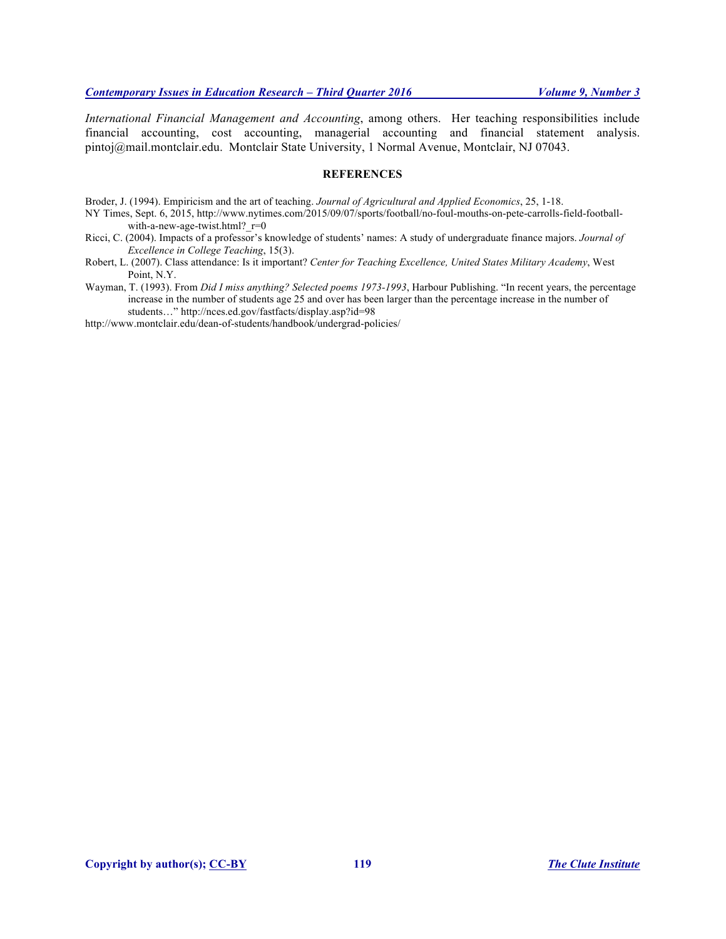*International Financial Management and Accounting*, among others. Her teaching responsibilities include financial accounting, cost accounting, managerial accounting and financial statement analysis. pintoj@mail.montclair.edu. Montclair State University, 1 Normal Avenue, Montclair, NJ 07043.

## **REFERENCES**

Broder, J. (1994). Empiricism and the art of teaching. *Journal of Agricultural and Applied Economics*, 25, 1-18.

- NY Times, Sept. 6, 2015, http://www.nytimes.com/2015/09/07/sports/football/no-foul-mouths-on-pete-carrolls-field-footballwith-a-new-age-twist.html? $r=0$
- Ricci, C. (2004). Impacts of a professor's knowledge of students' names: A study of undergraduate finance majors. *Journal of Excellence in College Teaching*, 15(3).
- Robert, L. (2007). Class attendance: Is it important? *Center for Teaching Excellence, United States Military Academy*, West Point, N.Y.

Wayman, T. (1993). From *Did I miss anything? Selected poems 1973-1993*, Harbour Publishing. "In recent years, the percentage increase in the number of students age 25 and over has been larger than the percentage increase in the number of students…" http://nces.ed.gov/fastfacts/display.asp?id=98

http://www.montclair.edu/dean-of-students/handbook/undergrad-policies/